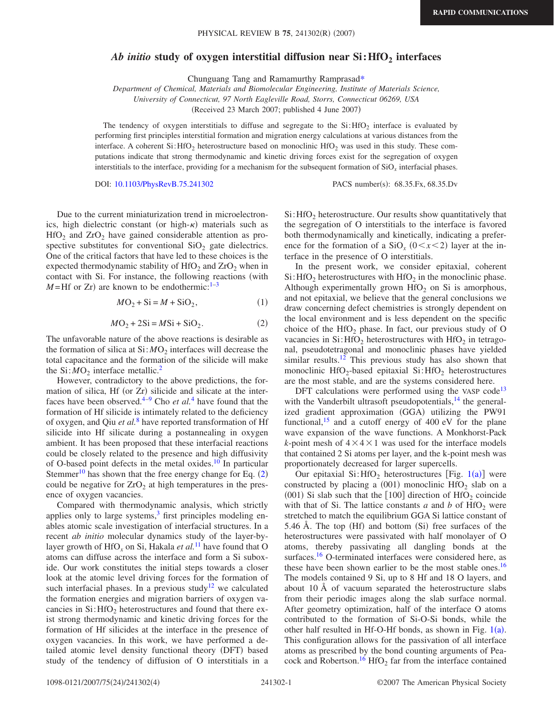## Ab initio study of oxygen interstitial diffusion near Si: HfO<sub>2</sub> interfaces

Chunguang Tang and Ramamurthy Ramprasa[d\\*](#page-3-0)

*Department of Chemical, Materials and Biomolecular Engineering, Institute of Materials Science,*

*University of Connecticut, 97 North Eagleville Road, Storrs, Connecticut 06269, USA*

(Received 23 March 2007; published 4 June 2007)

The tendency of oxygen interstitials to diffuse and segregate to the  $Si:HfO<sub>2</sub>$  interface is evaluated by performing first principles interstitial formation and migration energy calculations at various distances from the interface. A coherent Si: HfO<sub>2</sub> heterostructure based on monoclinic HfO<sub>2</sub> was used in this study. These computations indicate that strong thermodynamic and kinetic driving forces exist for the segregation of oxygen interstitials to the interface, providing for a mechanism for the subsequent formation of SiO*<sup>x</sup>* interfacial phases.

DOI: [10.1103/PhysRevB.75.241302](http://dx.doi.org/10.1103/PhysRevB.75.241302)

PACS number(s): 68.35.Fx, 68.35.Dv

Due to the current miniaturization trend in microelectronics, high dielectric constant (or high- $\kappa$ ) materials such as  $HfO<sub>2</sub>$  and  $ZrO<sub>2</sub>$  have gained considerable attention as prospective substitutes for conventional  $SiO<sub>2</sub>$  gate dielectrics. One of the critical factors that have led to these choices is the expected thermodynamic stability of  $HfO<sub>2</sub>$  and  $ZrO<sub>2</sub>$  when in contact with Si. For instance, the following reactions (with  $M = Hf$  or  $Zr$ ) are known to be endothermic:<sup>1–[3](#page-3-2)</sup>

$$
M\text{O}_2 + \text{Si} = M + \text{SiO}_2,\tag{1}
$$

$$
M\text{O}_2 + 2\text{Si} = M\text{Si} + \text{SiO}_2. \tag{2}
$$

<span id="page-0-0"></span>The unfavorable nature of the above reactions is desirable as the formation of silica at  $Si: MO<sub>2</sub>$  interfaces will decrease the total capacitance and the formation of the silicide will make the  $Si: MO<sub>2</sub>$  interface metallic.<sup>2</sup>

However, contradictory to the above predictions, the formation of silica, Hf (or Zr) silicide and silicate at the interfaces have been observed[.4](#page-3-4)[–9](#page-3-5) Cho *et al.*[4](#page-3-4) have found that the formation of Hf silicide is intimately related to the deficiency of oxygen, and Qiu *et al.*[8](#page-3-6) have reported transformation of Hf silicide into Hf silicate during a postannealing in oxygen ambient. It has been proposed that these interfacial reactions could be closely related to the presence and high diffusivity of O-based point defects in the metal oxides. $10$  In particular Stemmer<sup>10</sup> has shown that the free energy change for Eq.  $(2)$  $(2)$  $(2)$ could be negative for  $ZrO<sub>2</sub>$  at high temperatures in the presence of oxygen vacancies.

Compared with thermodynamic analysis, which strictly applies only to large systems, $3$  first principles modeling enables atomic scale investigation of interfacial structures. In a recent *ab initio* molecular dynamics study of the layer-bylayer growth of HfO<sub>x</sub> on Si, Hakala *et al.*<sup>[11](#page-3-8)</sup> have found that O atoms can diffuse across the interface and form a Si suboxide. Our work constitutes the initial steps towards a closer look at the atomic level driving forces for the formation of such interfacial phases. In a previous study<sup>12</sup> we calculated the formation energies and migration barriers of oxygen vacancies in  $Si:$  HfO<sub>2</sub> heterostructures and found that there exist strong thermodynamic and kinetic driving forces for the formation of Hf silicides at the interface in the presence of oxygen vacancies. In this work, we have performed a detailed atomic level density functional theory (DFT) based study of the tendency of diffusion of O interstitials in a  $Si:$  HfO<sub>2</sub> heterostructure. Our results show quantitatively that the segregation of O interstitials to the interface is favored both thermodynamically and kinetically, indicating a preference for the formation of a  $SiO_x$  ( $0 < x < 2$ ) layer at the interface in the presence of O interstitials.

In the present work, we consider epitaxial, coherent  $Si:$  HfO<sub>2</sub> heterostructures with HfO<sub>2</sub> in the monoclinic phase. Although experimentally grown  $HfO<sub>2</sub>$  on Si is amorphous, and not epitaxial, we believe that the general conclusions we draw concerning defect chemistries is strongly dependent on the local environment and is less dependent on the specific choice of the HfO<sub>2</sub> phase. In fact, our previous study of O vacancies in  $Si$ : HfO<sub>2</sub> heterostructures with HfO<sub>2</sub> in tetragonal, pseudotetragonal and monoclinic phases have yielded similar results.<sup>12</sup> This previous study has also shown that monoclinic  $HfO_2$ -based epitaxial Si: $HfO_2$  heterostructures are the most stable, and are the systems considered here.

DFT calculations were performed using the VASP code<sup>13</sup> with the Vanderbilt ultrasoft pseudopotentials, $^{14}$  the generalized gradient approximation (GGA) utilizing the PW91 functional,  $15$  and a cutoff energy of 400 eV for the plane wave expansion of the wave functions. A Monkhorst-Pack *k*-point mesh of  $4 \times 4 \times 1$  was used for the interface models that contained 2 Si atoms per layer, and the k-point mesh was proportionately decreased for larger supercells.

Our epitaxial  $Si: HfO<sub>2</sub>$  heterostructures [Fig. [1](#page-1-0)(a)] were constructed by placing a  $(001)$  monoclinic HfO<sub>2</sub> slab on a (001) Si slab such that the  $[100]$  direction of HfO<sub>2</sub> coincide with that of Si. The lattice constants  $a$  and  $b$  of HfO<sub>2</sub> were stretched to match the equilibrium GGA Si lattice constant of 5.46 Å. The top  $(Hf)$  and bottom  $(Si)$  free surfaces of the heterostructures were passivated with half monolayer of O atoms, thereby passivating all dangling bonds at the surfaces.<sup>16</sup> O-terminated interfaces were considered here, as these have been shown earlier to be the most stable ones.<sup>16</sup> The models contained 9 Si, up to 8 Hf and 18 O layers, and about 10 Å of vacuum separated the heterostructure slabs from their periodic images along the slab surface normal. After geometry optimization, half of the interface O atoms contributed to the formation of Si-O-Si bonds, while the other half resulted in Hf-O-Hf bonds, as shown in Fig.  $1(a)$  $1(a)$ . This configuration allows for the passivation of all interface atoms as prescribed by the bond counting arguments of Peacock and Robertson.<sup>16</sup> HfO<sub>2</sub> far from the interface contained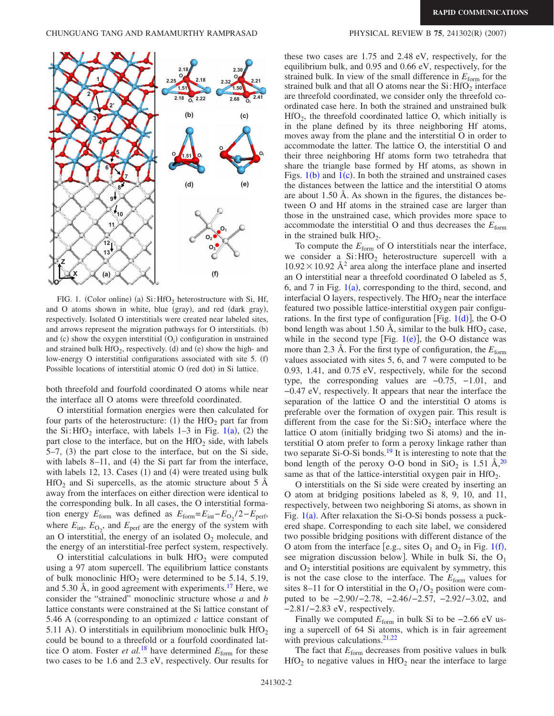<span id="page-1-0"></span>

FIG. 1. (Color online) (a)  $Si: HfO<sub>2</sub>$  heterostructure with Si, Hf, and O atoms shown in white, blue (gray), and red (dark gray), respectively. Isolated O interstitials were created near labeled sites, and arrows represent the migration pathways for O interstitials. (b) and (c) show the oxygen interstitial  $(O<sub>i</sub>)$  configuration in unstrained and strained bulk  $HfO_2$ , respectively. (d) and (e) show the high- and low-energy O interstitial configurations associated with site 5. (f) Possible locations of interstitial atomic O (red dot) in Si lattice.

both threefold and fourfold coordinated O atoms while near the interface all O atoms were threefold coordinated.

O interstitial formation energies were then calculated for four parts of the heterostructure: (1) the  $HfO<sub>2</sub>$  part far from the Si:  $\text{HfO}_2$  interface, with labels [1](#page-1-0)–3 in Fig. 1(a), (2) the part close to the interface, but on the  $HfO<sub>2</sub>$  side, with labels  $5-7$ ,  $(3)$  the part close to the interface, but on the Si side, with labels  $8-11$ , and  $(4)$  the Si part far from the interface, with labels  $12$ ,  $13$ . Cases  $(1)$  and  $(4)$  were treated using bulk  $HfO<sub>2</sub>$  and Si supercells, as the atomic structure about 5 Å away from the interfaces on either direction were identical to the corresponding bulk. In all cases, the O interstitial formation energy  $E_{\text{form}}$  was defined as  $E_{\text{form}} = E_{\text{int}} - E_{\text{O}_2}/2 - E_{\text{perf}}$ , where  $E_{\text{int}}$ ,  $E_{\text{O}_2}$ , and  $E_{\text{perf}}$  are the energy of the system with an O interstitial, the energy of an isolated  $O_2$  molecule, and the energy of an interstitial-free perfect system, respectively.

O interstitial calculations in bulk  $HfO<sub>2</sub>$  were computed using a 97 atom supercell. The equilibrium lattice constants of bulk monoclinic  $HfO<sub>2</sub>$  were determined to be 5.14, 5.19, and 5.30 Å, in good agreement with experiments. $17$  Here, we consider the "strained" monoclinic structure whose *a* and *b* lattice constants were constrained at the Si lattice constant of 5.46 A corresponding to an optimized *c* lattice constant of 5.11 A). O interstitials in equilibrium monoclinic bulk  $HfO<sub>2</sub>$ could be bound to a threefold or a fourfold coordinated lattice O atom. Foster *et al.*<sup>[18](#page-3-15)</sup> have determined  $E_{\text{form}}$  for these two cases to be 1.6 and 2.3 eV, respectively. Our results for

## $(2007)$

these two cases are 1.75 and 2.48 eV, respectively, for the equilibrium bulk, and 0.95 and 0.66 eV, respectively, for the strained bulk. In view of the small difference in  $E_{\text{form}}$  for the strained bulk and that all O atoms near the  $Si$ : HfO<sub>2</sub> interface are threefold coordinated, we consider only the threefold coordinated case here. In both the strained and unstrained bulk  $HfO<sub>2</sub>$ , the threefold coordinated lattice O, which initially is in the plane defined by its three neighboring Hf atoms, moves away from the plane and the interstitial O in order to accommodate the latter. The lattice O, the interstitial O and their three neighboring Hf atoms form two tetrahedra that share the triangle base formed by Hf atoms, as shown in Figs.  $1(b)$  $1(b)$  and  $1(c)$ . In both the strained and unstrained cases the distances between the lattice and the interstitial O atoms are about 1.50 Å. As shown in the figures, the distances between O and Hf atoms in the strained case are larger than those in the unstrained case, which provides more space to accommodate the interstitial O and thus decreases the *E*form in the strained bulk  $HfO<sub>2</sub>$ .

To compute the  $E_{\text{form}}$  of O interstitials near the interface, we consider a  $Si:HfO<sub>2</sub>$  heterostructure supercell with a  $10.92 \times 10.92$  Å<sup>2</sup> area along the interface plane and inserted an O interstitial near a threefold coordinated O labeled as 5, 6, and 7 in Fig.  $1(a)$  $1(a)$ , corresponding to the third, second, and interfacial O layers, respectively. The  $HfO<sub>2</sub>$  near the interface featured two possible lattice-interstitial oxygen pair configurations. In the first type of configuration [Fig.  $1(d)$  $1(d)$ ], the O-O bond length was about 1.50 Å, similar to the bulk  $HfO<sub>2</sub>$  case, while in the second type [Fig.  $1(e)$  $1(e)$ ], the O-O distance was more than 2.3 Å. For the first type of configuration, the  $E_{\text{form}}$ values associated with sites 5, 6, and 7 were computed to be 0.93, 1.41, and 0.75 eV, respectively, while for the second type, the corresponding values are −0.75, −1.01, and −0.47 eV, respectively. It appears that near the interface the separation of the lattice O and the interstitial O atoms is preferable over the formation of oxygen pair. This result is different from the case for the  $Si:SiO<sub>2</sub>$  interface where the lattice O atom (initially bridging two Si atoms) and the interstitial O atom prefer to form a peroxy linkage rather than two separate Si-O-Si bonds.<sup>19</sup> It is interesting to note that the bond length of the peroxy O-O bond in  $SiO_2$  is 1.51 Å,<sup>20</sup> same as that of the lattice-interstitial oxygen pair in  $HfO<sub>2</sub>$ .

O interstitials on the Si side were created by inserting an O atom at bridging positions labeled as 8, 9, 10, and 11, respectively, between two neighboring Si atoms, as shown in Fig.  $1(a)$  $1(a)$ . After relaxation the Si-O-Si bonds possess a puckered shape. Corresponding to each site label, we considered two possible bridging positions with different distance of the O atom from the interface [e.g., sites  $O_1$  $O_1$  and  $O_2$  in Fig. 1(f), see migration discussion below]. While in bulk Si, the  $O<sub>1</sub>$ and  $O_2$  interstitial positions are equivalent by symmetry, this is not the case close to the interface. The  $E_{\text{form}}$  values for sites 8–11 for O interstitial in the  $O_1/O_2$  position were computed to be −2.90/−2.78, −2.46/−2.57, −2.92/−3.02, and −2.81/−2.83 eV, respectively.

Finally we computed  $E_{form}$  in bulk Si to be  $-2.66$  eV using a supercell of 64 Si atoms, which is in fair agreement with previous calculations. $21,22$  $21,22$ 

The fact that  $E_{\text{form}}$  decreases from positive values in bulk  $HfO<sub>2</sub>$  to negative values in  $HfO<sub>2</sub>$  near the interface to large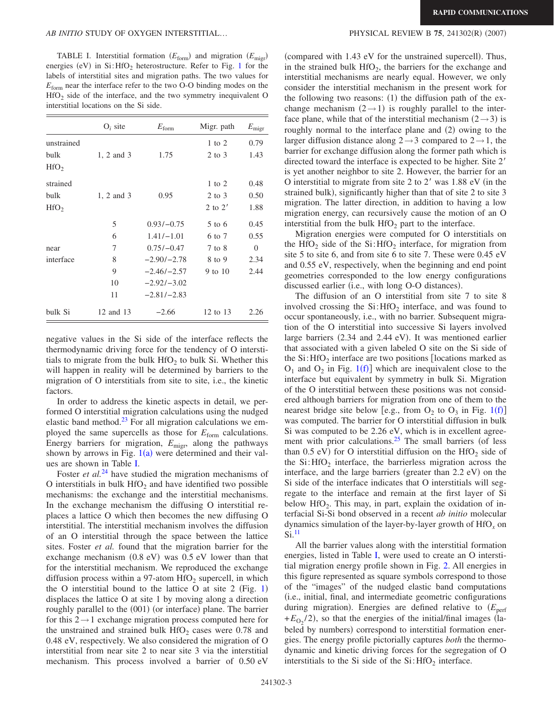<span id="page-2-0"></span>TABLE I. Interstitial formation  $(E_{\text{form}})$  and migration  $(E_{\text{migr}})$ energies (eV) in  $Si:$  HfO<sub>2</sub> heterostructure. Refer to Fig. [1](#page-1-0) for the labels of interstitial sites and migration paths. The two values for  $E_{\text{form}}$  near the interface refer to the two O-O binding modes on the  $HfO<sub>2</sub>$  side of the interface, and the two symmetry inequivalent O interstitial locations on the Si side.

|                  | $O_i$ site | $E_{\rm form}$ | Migr. path | $E_{\rm migr}$ |
|------------------|------------|----------------|------------|----------------|
| unstrained       |            |                | $1$ to $2$ | 0.79           |
| bulk             | 1, 2 and 3 | 1.75           | $2$ to $3$ | 1.43           |
| HfO <sub>2</sub> |            |                |            |                |
| strained         |            |                | $1$ to $2$ | 0.48           |
| bulk             | 1, 2 and 3 | 0.95           | $2$ to $3$ | 0.50           |
| HfO <sub>2</sub> |            |                | 2 to $2'$  | 1.88           |
|                  | 5          | $0.93/-0.75$   | $5$ to 6   | 0.45           |
|                  | 6          | $1.41/-1.01$   | 6 to 7     | 0.55           |
| near             | 7          | $0.75/-0.47$   | 7 to 8     | $\overline{0}$ |
| interface        | 8          | $-2.90/-2.78$  | 8 to 9     | 2.34           |
|                  | 9          | $-2.46/-2.57$  | 9 to $10$  | 2.44           |
|                  | 10         | $-2.92/-3.02$  |            |                |
|                  | 11         | $-2.81/-2.83$  |            |                |
| bulk Si          | 12 and 13  | $-2.66$        | 12 to 13   | 2.26           |

negative values in the Si side of the interface reflects the thermodynamic driving force for the tendency of O interstitials to migrate from the bulk  $HfO<sub>2</sub>$  to bulk Si. Whether this will happen in reality will be determined by barriers to the migration of O interstitials from site to site, i.e., the kinetic factors.

In order to address the kinetic aspects in detail, we performed O interstitial migration calculations using the nudged elastic band method. $23$  For all migration calculations we employed the same supercells as those for  $E_{\text{form}}$  calculations. Energy barriers for migration,  $E_{\text{migr}}$ , along the pathways shown by arrows in Fig.  $1(a)$  $1(a)$  were determined and their values are shown in Table [I.](#page-2-0)

Foster *et al.*<sup>[24](#page-3-21)</sup> have studied the migration mechanisms of O interstitials in bulk  $HfO<sub>2</sub>$  and have identified two possible mechanisms: the exchange and the interstitial mechanisms. In the exchange mechanism the diffusing O interstitial replaces a lattice O which then becomes the new diffusing O interstitial. The interstitial mechanism involves the diffusion of an O interstitial through the space between the lattice sites. Foster *et al.* found that the migration barrier for the exchange mechanism  $(0.8 \text{ eV})$  was  $0.5 \text{ eV}$  lower than that for the interstitial mechanism. We reproduced the exchange diffusion process within a 97-atom  $HfO<sub>2</sub>$  supercell, in which the O interstitial bound to the lattice O at site  $2$  (Fig. [1](#page-1-0)) displaces the lattice O at site 1 by moving along a direction roughly parallel to the (001) (or interface) plane. The barrier for this  $2 \rightarrow 1$  exchange migration process computed here for the unstrained and strained bulk  $HfO<sub>2</sub>$  cases were 0.78 and 0.48 eV, respectively. We also considered the migration of O interstitial from near site 2 to near site 3 via the interstitial mechanism. This process involved a barrier of 0.50 eV

## $(2007)$

(compared with 1.43 eV for the unstrained supercell). Thus, in the strained bulk  $HfO<sub>2</sub>$ , the barriers for the exchange and interstitial mechanisms are nearly equal. However, we only consider the interstitial mechanism in the present work for the following two reasons: (1) the diffusion path of the exchange mechanism  $(2 \rightarrow 1)$  is roughly parallel to the interface plane, while that of the interstitial mechanism  $(2 \rightarrow 3)$  is roughly normal to the interface plane and (2) owing to the larger diffusion distance along  $2 \rightarrow 3$  compared to  $2 \rightarrow 1$ , the barrier for exchange diffusion along the former path which is directed toward the interface is expected to be higher. Site 2 is yet another neighbor to site 2. However, the barrier for an O interstitial to migrate from site  $2$  to  $2'$  was  $1.88$  eV (in the strained bulk), significantly higher than that of site 2 to site 3 migration. The latter direction, in addition to having a low migration energy, can recursively cause the motion of an O interstitial from the bulk  $HfO<sub>2</sub>$  part to the interface.

Migration energies were computed for O interstitials on the HfO<sub>2</sub> side of the Si:HfO<sub>2</sub> interface, for migration from site 5 to site 6, and from site 6 to site 7. These were 0.45 eV and 0.55 eV, respectively, when the beginning and end point geometries corresponded to the low energy configurations discussed earlier (i.e., with long O-O distances).

The diffusion of an O interstitial from site 7 to site 8 involved crossing the  $Si: HfO<sub>2</sub>$  interface, and was found to occur spontaneously, i.e., with no barrier. Subsequent migration of the O interstitial into successive Si layers involved large barriers (2.34 and 2.44 eV). It was mentioned earlier that associated with a given labeled O site on the Si side of the  $Si:$  HfO<sub>2</sub> interface are two positions [locations marked as  $O_1$  $O_1$  and  $O_2$  in Fig. 1(f)] which are inequivalent close to the interface but equivalent by symmetry in bulk Si. Migration of the O interstitial between these positions was not considered although barriers for migration from one of them to the nearest bridge site below [e.g., from  $O_2$  to  $O_3$  in Fig. [1](#page-1-0)(f)] was computed. The barrier for O interstitial diffusion in bulk Si was computed to be 2.26 eV, which is in excellent agreement with prior calculations. $25$  The small barriers (of less than 0.5 eV) for O interstitial diffusion on the  $HfO<sub>2</sub>$  side of the  $Si: HfO<sub>2</sub>$  interface, the barrierless migration across the interface, and the large barriers (greater than 2.2 eV) on the Si side of the interface indicates that O interstitials will segregate to the interface and remain at the first layer of Si below  $HfO<sub>2</sub>$ . This may, in part, explain the oxidation of interfacial Si-Si bond observed in a recent *ab initio* molecular dynamics simulation of the layer-by-layer growth of HfO*<sup>x</sup>* on  $Si.<sup>11</sup>$  $Si.<sup>11</sup>$  $Si.<sup>11</sup>$ 

All the barrier values along with the interstitial formation energies, listed in Table [I,](#page-2-0) were used to create an O interstitial migration energy profile shown in Fig. [2.](#page-3-23) All energies in this figure represented as square symbols correspond to those of the "images" of the nudged elastic band computations i.e., initial, final, and intermediate geometric configurations during migration). Energies are defined relative to  $(E_{\text{perf}})$  $+E_{O_2}/2$ ), so that the energies of the initial/final images (labeled by numbers) correspond to interstitial formation energies. The energy profile pictorially captures *both* the thermodynamic and kinetic driving forces for the segregation of O interstitials to the Si side of the  $Si$ : HfO<sub>2</sub> interface.